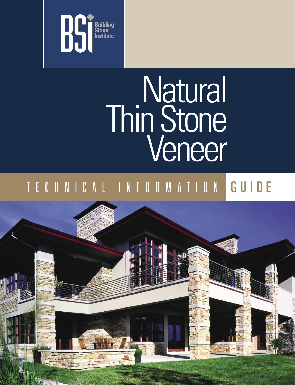

# Natural Thin Stone Veneer

### T E C H N I C A L I N F O R M A T I O N G U I D E

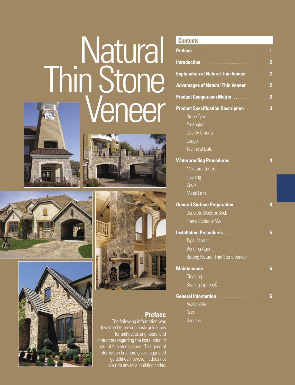## **Natural** Thin Stone Veneer









### **Preface**

 The following information was developed to provide basic guidelines for architects, engineers, and contractors regarding the installation of natural thin stone veneer. This general information brochure gives suggested guidelines; however, it does not override any local building codes.

#### **Contents**

| <b>Explanation of Natural Thin Veneer</b> 2    |
|------------------------------------------------|
| <b>Advantages of Natural Thin Veneer</b> 2     |
| <b>Product Comparison Matrix Access 2008</b>   |
| <b>Product Specification Description</b> 3     |
| <b>Stone Type</b>                              |
| Packaging                                      |
| <b>Quality Criteria</b>                        |
| Usage                                          |
| <b>Technical Data</b>                          |
| Waterproofing Procedures Materian Material 14  |
| <b>Moisture Control</b>                        |
| Flashing                                       |
| Caulk                                          |
| Metal Lath                                     |
| <b>General Surface Preparation Access 2006</b> |
| <b>Concrete Block or Brick</b>                 |
| <b>Framed Exterior Wall</b>                    |
|                                                |
| <b>Type Mortar</b>                             |
| <b>Bonding Agent</b>                           |
| Setting Natural Thin Stone Veneer              |
| <b>Maintenance</b><br>$6\phantom{1}$           |
| Cleaning                                       |
| Sealing (optional)                             |
|                                                |
| <b>Availability</b>                            |
| Cost                                           |
| Sources                                        |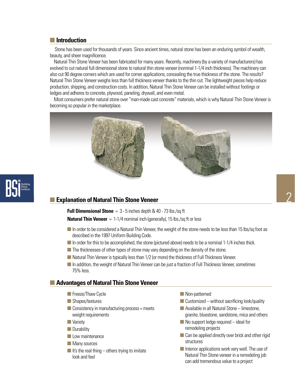#### **Introduction**

Stone has been used for thousands of years. Since ancient times, natural stone has been an enduring symbol of wealth, beauty, and sheer magnificence.

 Natural Thin Stone Veneer has been fabricated for many years. Recently, machinery (by a variety of manufacturers) has evolved to cut natural full dimensional stone to natural thin stone veneer (nominal 1-1/4 inch thickness). The machinery can also cut 90 degree corners which are used for corner applications, concealing the true thickness of the stone. The results? Natural Thin Stone Veneer weighs less than full thickness veneer thanks to the thin cut. The lightweight pieces help reduce production, shipping, and construction costs. In addition, Natural Thin Stone Veneer can be installed without footings or ledges and adheres to concrete, plywood, paneling, drywall, and even metal.

 Most consumers prefer natural stone over "man-made cast concrete" materials, which is why Natural Thin Stone Veneer is becoming so popular in the marketplace.



#### **Explanation of Natural Thin Stone Veneer**

**Full Dimensional Stone** = 3 - 5 inches depth & 40 - 73 lbs./sq ft **Natural Thin Veneer** = 1-1/4 nominal inch (generally), 15 lbs./sq ft or less

- In order to be considered a Natural Thin Veneer, the weight of the stone needs to be less than 15 lbs/sq foot as described in the 1997 Uniform Building Code.
- In order for this to be accomplished, the stone (pictured above) needs to be a nominal 1-1/4 inches thick.
- $\blacksquare$  The thicknesses of other types of stone may vary depending on the density of the stone.
- Natural Thin Veneer is typically less than 1/2 (or more) the thickness of Full Thickness Veneer.
- **In addition, the weight of Natural Thin Veneer can be just a fraction of Full Thickness Veneer, sometimes** 75% less.

#### **Advantages of Natural Thin Stone Veneer**

- **Freeze/Thaw Cycle**
- Shapes/textures
- $\Box$  Consistency in manufacturing process = meets weight requirements
- **Nariety**
- **Durability**
- **Low maintenance**
- **Many sources**
- If it's the real thing others trying to imitate look and feel
- **Non-patterned**
- $\blacksquare$  Customized without sacrificing look/quality
- $\blacksquare$  Available in all Natural Stone limestone, granite, bluestone, sandstone, mica and others
- $\blacksquare$  No support ledge required ideal for remodeling projects
- Can be applied directly over brick and other rigid structures
- $\blacksquare$  Interior applications work very well. The use of Natural Thin Stone veneer in a remodeling job can add tremendous value to a project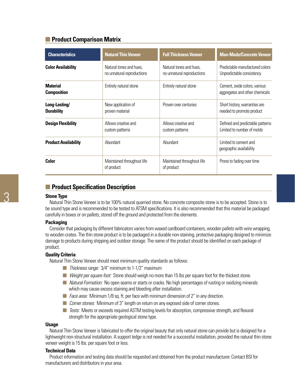#### **Product Comparison Matrix**

| <b>Characteristics</b>                | <b>Natural Thin Veneer</b>                            | <b>Full Thickness Veneer</b>                          | <b>Man-Made/Concrete Veneer</b>                                 |
|---------------------------------------|-------------------------------------------------------|-------------------------------------------------------|-----------------------------------------------------------------|
| <b>Color Availability</b>             | Natural tones and hues,<br>no unnatural reproductions | Natural tones and hues.<br>no unnatural reproductions | Predictable manufactured colors<br>Unpredictable consistency    |
| <b>Material</b><br><b>Composition</b> | Entirely natural stone                                | Entirely natural stone                                | Cement, oxide colors, various<br>aggregates and other chemicals |
| Long-Lasting/<br><b>Durability</b>    | New application of<br>proven material                 | Proven over centuries                                 | Short history, warranties are<br>needed to promote product      |
| <b>Design Flexibility</b>             | Allows creative and<br>custom patterns                | Allows creative and<br>custom patterns                | Defined and predictable patterns<br>Limited to number of molds  |
| <b>Product Availability</b>           | Abundant                                              | Abundant                                              | Limited to cement and<br>geographic availability                |
| Color                                 | Maintained throughout life<br>of product              | Maintained throughout life<br>of product              | Prone to fading over time                                       |

#### **Product Specification Description**

#### **Stone Type**

 Natural Thin Stone Veneer is to be 100% natural quarried stone. No concrete composite stone is to be accepted. Stone is to be sound type and is recommended to be tested to ATSM specifications. It is also recommended that this material be packaged carefully in boxes or on pallets, stored off the ground and protected from the elements.

#### **Packaging**

 Consider that packaging by different fabricators varies from waxed cardboard containers, wooden pallets with wire wrapping, to wooden crates. The thin stone product is to be packaged in a durable non-staining, protective packaging designed to minimize damage to products during shipping and outdoor storage. The name of the product should be identified on each package of product.

#### **Quality Criteria**

Natural Thin Stone Veneer should meet minimum quality standards as follows:

- Thickness range: 3/4" minimum to 1-1/2" maximum
- Weight per square foot: Stone should weigh no more than 15 lbs per square foot for the thickest stone.
- *Natural Formation:* No open seams or starts or cracks. No high percentages of rusting or oxidizing minerals which may cause excess staining and bleeding after installation.
- Face area: Minimum 1/8 sq. ft. per face with minimum dimension of 2" in any direction.
- Corner stones: Minimum of 3" length on return on any exposed side of corner stones.
- Tests: Meets or exceeds required ASTM testing levels for absorption, compressive strength, and flexural strength for the appropriate geological stone type.

#### **Usage**

 Natural Thin Stone Veneer is fabricated to offer the original beauty that only natural stone can provide but is designed for a lightweight non-structural installation. A support ledge is not needed for a successful installation, provided the natural thin stone veneer weight is 15 lbs. per square foot or less.

#### **Technical Data**

 Product information and testing data should be requested and obtained from the product manufacturer. Contact BSI for manufacturers and distributors in your area.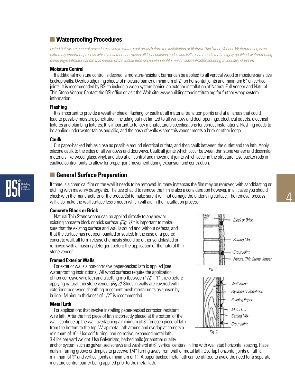#### **Waterproofing Procedures**

Listed below are general procedures used to waterproof areas before the installation of Natural Thin Stone Veneer. Waterproofing is an extremely important process which must meet or exceed all local building codes and BSI recommends that a highly qualified waterproofing company/contractor handle this portion of the installation or knowledgeable mason subcontractor adhering to industry standard.

#### **Moisture Control**

 If additional moisture control is desired, a moisture-resistant barrier can be applied to all vertical wood or moisture-sensitive backup walls. Overlap adjoining sheets of moisture barrier a minimum of 2" on horizontal joints and minimum 6" on vertical joints. It is recommended by BSI to include a weep system behind an exterior installation of Natural Full Veneer and Natural Thin Stone Veneer. Contact the BSI office or visit the Web site www.buildingstoneinstitute.org for further weep system information.

#### **Flashing**

 It is important to provide a weather shield, flashing, or caulk at all material transition points and at all areas that could lead to possible moisture penetration, including but not limited to all window and door openings, electrical outlets, electrical fixtures and plumbing fixtures. It is important to follow manufacturers specifications for correct installations. Flashing needs to be applied under water tables and sills, and the base of walls where this veneer meets a brick or other ledge.

#### **Caulk**

 Cut paper-backed lath as close as possible around electrical outlets, and then caulk between the outlet and the lath. Apply silicone caulk to the sides of all windows and doorways. Caulk all joints which occur between thin stone veneer and dissimilar materials like wood, glass, vinyl, and also at all control and movement joints which occur in the structure. Use backer rods in caulked control joints to allow for proper joint movement during expansion and contraction.

#### **General Surface Preparation**

If there is a chemical film on the wall it needs to be removed. In many instances the film may be removed with sandblasting or etching with masonry detergents. The use of acid to remove the film is also a consideration however, in all cases you should check with the manufacturer of the product(s) to make sure it will not damage the underlying surface. The removal process will also make the wall surface less smooth which will aid in the installation process.

#### **Concrete Block or Brick**

 Natural Thin Stone veneer can be applied directly to any new or existing concrete block or brick surface. (Fig. 1) It is important to make sure that the existing surface and wall is sound and without defects, and that the surface has not been painted or sealed. In the case of a poured concrete wall, all form release chemicals should be either sandblasted or removed with a masonry detergent before the application of the natural thin stone veneer.

#### **Framed Exterior Walls**

 For exterior walls a non-corrosive paper-backed lath is applied (see waterproofing instructions). All wood surfaces require the application of non-corrosive wire lath and a setting mix (between 1/2" - 1" thick) before applying natural thin stone veneer (Fig 2). Studs in walls are covered with exterior grade wood sheathing or cement mesh mortar units as chosen by builder. Minimum thickness of 1/2" is recommended.

#### **Metal Lath**

 For applications that involve installing paper-backed corrosion resistant wire lath: After the first piece of lath is correctly placed at the bottom of the wall, continue up the wall overlapping a minimum of 3" for each piece of lath from the bottom to the top. Wrap metal lath around and overlap at corners a minimum of 16". Use self-furring, non-corrosive, expanded metal lath, 3.4 lbs per yard weight. Use Galvanized, barbed nails (or another quality



anchor system such as galvanized screws and washers) at 6" vertical centers, in line with wall stud horizontal spacing. Place nails in furring groove or dimples to preserve 1/4" furring away from wall of metal lath. Overlap horizontal joints of lath a minimum of 1" and vertical joints a minimum of 1". A paper-backed metal lath can be utilized to avoid the need for a separate moisture control barrier being applied prior to the metal lath.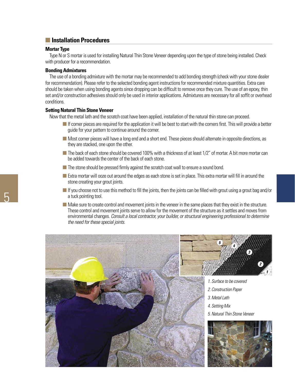#### **Installation Procedures**

#### **Mortar Type**

 Type N or S mortar is used for installing Natural Thin Stone Veneer depending upon the type of stone being installed. Check with producer for a recommendation.

#### **Bonding Admixtures**

 The use of a bonding admixture with the mortar may be recommended to add bonding strength (check with your stone dealer for recommendation). Please refer to the selected bonding agent instructions for recommended mixture quantities. Extra care should be taken when using bonding agents since dropping can be difficult to remove once they cure. The use of an epoxy, thin set and/or construction adhesives should only be used in interior applications. Admixtures are necessary for all soffit or overhead conditions.

#### **Setting Natural Thin Stone Veneer**

Now that the metal lath and the scratch coat have been applied, installation of the natural thin stone can proceed.

- $\blacksquare$  If corner pieces are required for the application it will be best to start with the corners first. This will provide a better guide for your pattern to continue around the corner.
- Most corner pieces will have a long end and a short end. These pieces should alternate in opposite directions, as they are stacked, one upon the other.
- $\blacksquare$  The back of each stone should be covered 100% with a thickness of at least 1/2" of mortar. A bit more mortar can be added towards the center of the back of each stone.
- The stone should be pressed firmly against the scratch coat wall to ensure a sound bond.
- **Extra mortar will ooze out around the edges as each stone is set in place. This extra mortar will fill in around the** stone creating your grout joints.
- If you choose not to use this method to fill the joints, then the joints can be filled with grout using a grout bag and/or a tuck pointing tool.
- Make sure to create control and movement joints in the veneer in the same places that they exist in the structure. These control and movement joints serve to allow for the movement of the structure as it settles and moves from environmental changes. Consult a local contractor, your builder, or structural engineering professional to determine the need for these special joints.

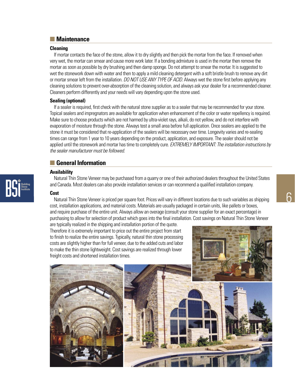#### **Maintenance**

#### **Cleaning**

 If mortar contacts the face of the stone, allow it to dry slightly and then pick the mortar from the face. If removed when very wet, the mortar can smear and cause more work later. If a bonding admixture is used in the mortar then remove the mortar as soon as possible by dry brushing and then damp sponge. Do not attempt to smear the mortar. It is suggested to wet the stonework down with water and then to apply a mild cleaning detergent with a soft bristle brush to remove any dirt or mortar smear left from the installation. DO NOT USE ANY TYPE OF ACID. Always wet the stone first before applying any cleaning solutions to prevent over-absorption of the cleaning solution, and always ask your dealer for a recommended cleaner. Cleaners perform differently and your needs will vary depending upon the stone used.

#### **Sealing (optional)**

 If a sealer is required, first check with the natural stone supplier as to a sealer that may be recommended for your stone. Topical sealers and impregnators are available for application when enhancement of the color or water repellency is required. Make sure to choose products which are not harmed by ultra-violet rays, alkali, do not yellow, and do not interfere with evaporation of moisture through the stone. Always test a small area before full application. Once sealers are applied to the stone it must be considered that re-application of the sealers will be necessary over time. Longevity varies and re-sealing times can range from 1 year to 10 years depending on the product, application, and exposure. The sealer should not be applied until the stonework and mortar has time to completely cure. EXTREMELY IMPORTANT: The installation instructions by the sealer manufacturer must be followed.

#### **General Information**

#### **Availability**

 Natural Thin Stone Veneer may be purchased from a quarry or one of their authorized dealers throughout the United States and Canada. Most dealers can also provide installation services or can recommend a qualified installation company.

#### **Cost**

 Natural Thin Stone Veneer is priced per square foot. Prices will vary in different locations due to such variables as shipping cost, installation applications, and material costs. Materials are usually packaged in certain units, like pallets or boxes, and require purchase of the entire unit. Always allow an overage (consult your stone supplier for an exact percentage) in purchasing to allow for selection of product which goes into the final installation. Cost savings on Natural Thin Stone Veneer are typically realized in the shipping and installation portion of the quote.

Therefore it is extremely important to price out the entire project from start to finish to realize the entire savings. Typically, natural thin stone processing costs are slightly higher than for full veneer, due to the added cuts and labor to make the thin stone lightweight. Cost savings are realized through lower freight costs and shortened installation times.